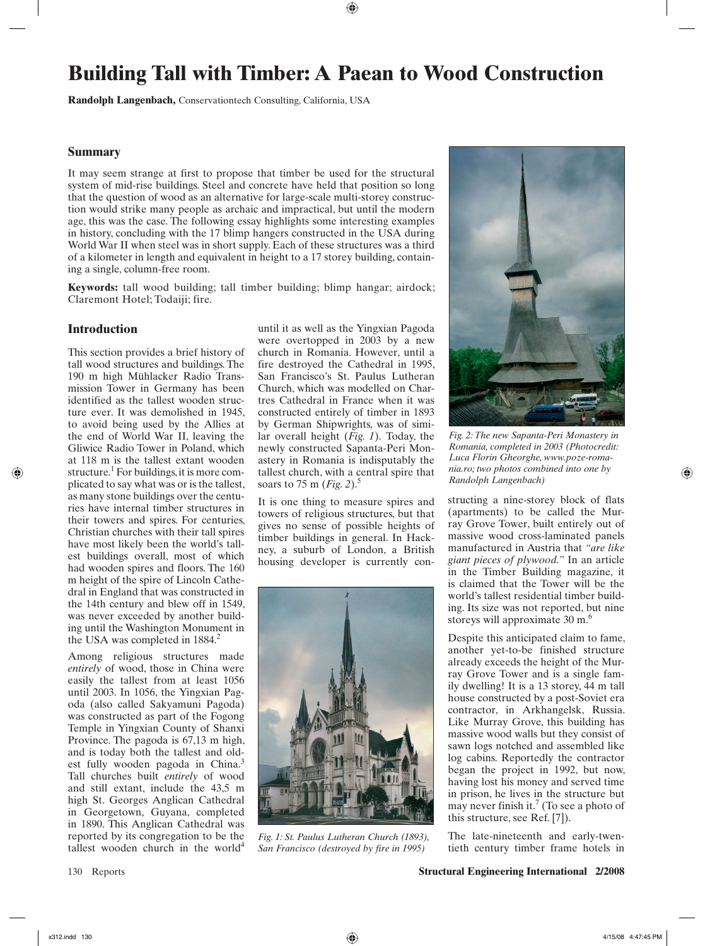# **Building Tall with Timber: A Paean to Wood Construction**

Randolph Langenbach, Conservationtech Consulting, California, USA

## **Summary**

It may seem strange at first to propose that timber be used for the structural system of mid-rise buildings. Steel and concrete have held that position so long that the question of wood as an alternative for large-scale multi-storey construction would strike many people as archaic and impractical, but until the modern age, this was the case. The following essay highlights some interesting examples in history, concluding with the 17 blimp hangers constructed in the USA during World War II when steel was in short supply. Each of these structures was a third of a kilometer in length and equivalent in height to a 17 storey building, containing a single, column-free room.

**Keywords:** tall wood building; tall timber building; blimp hangar; airdock; Claremont Hotel; Todaiji; fire.

## **Introduction**

This section provides a brief history of tall wood structures and buildings. The 190 m high Mühlacker Radio Transmission Tower in Germany has been identified as the tallest wooden structure ever. It was demolished in 1945. to avoid being used by the Allies at the end of World War II, leaving the Gliwice Radio Tower in Poland, which at 118 m is the tallest extant wooden structure.<sup>1</sup> For buildings, it is more complicated to say what was or is the tallest, as many stone buildings over the centuries have internal timber structures in their towers and spires. For centuries, Christian churches with their tall spires have most likely been the world's tallest buildings overall, most of which had wooden spires and floors. The 160 m height of the spire of Lincoln Cathedral in England that was constructed in the 14th century and blew off in 1549, was never exceeded by another building until the Washington Monument in the USA was completed in  $1884<sup>2</sup>$ 

Among religious structures made *entirely* of wood, those in China were easily the tallest from at least 1056 until 2003. In 1056, the Yingxian Pagoda (also called Sakyamuni Pagoda) was constructed as part of the Fogong Temple in Yingxian County of Shanxi Province. The pagoda is 67,13 m high, and is today both the tallest and oldest fully wooden pagoda in China.<sup>3</sup> Tall churches built entirely of wood and still extant, include the 43,5 m high St. Georges Anglican Cathedral in Georgetown, Guyana, completed in 1890. This Anglican Cathedral was reported by its congregation to be the tallest wooden church in the world<sup>4</sup>

until it as well as the Yingxian Pagoda were overtopped in 2003 by a new church in Romania. However, until a fire destroyed the Cathedral in 1995, San Francisco's St. Paulus Lutheran Church, which was modelled on Chartres Cathedral in France when it was constructed entirely of timber in 1893 by German Shipwrights, was of similar overall height  $(Fig. 1)$ . Today, the newly constructed Sapanta-Peri Monastery in Romania is indisputably the tallest church, with a central spire that soars to 75 m (*Fig. 2*).<sup>5</sup>

It is one thing to measure spires and towers of religious structures, but that gives no sense of possible heights of timber buildings in general. In Hackney, a suburb of London, a British housing developer is currently con-



Fig. 1: St. Paulus Lutheran Church (1893), San Francisco (destroved by fire in 1995)



Fig. 2: The new Sapanta-Peri Monastery in Romania, completed in 2003 (Photocredit: Luca Florin Gheorghe, www.poze-romania.ro; two photos combined into one by Randolph Langenbach)

structing a nine-storey block of flats (apartments) to be called the Murray Grove Tower, built entirely out of massive wood cross-laminated panels manufactured in Austria that "are like giant pieces of plywood." In an article in the Timber Building magazine, it is claimed that the Tower will be the world's tallest residential timber building. Its size was not reported, but nine storeys will approximate 30 m.<sup>6</sup>

Despite this anticipated claim to fame, another yet-to-be finished structure already exceeds the height of the Murray Grove Tower and is a single family dwelling! It is a 13 storey, 44 m tall house constructed by a post-Soviet era contractor, in Arkhangelsk, Russia. Like Murray Grove, this building has massive wood walls but they consist of sawn logs notched and assembled like log cabins. Reportedly the contractor began the project in 1992, but now, having lost his money and served time in prison, he lives in the structure but may never finish it.<sup>7</sup> (To see a photo of this structure, see Ref. [7]).

The late-nineteenth and early-twentieth century timber frame hotels in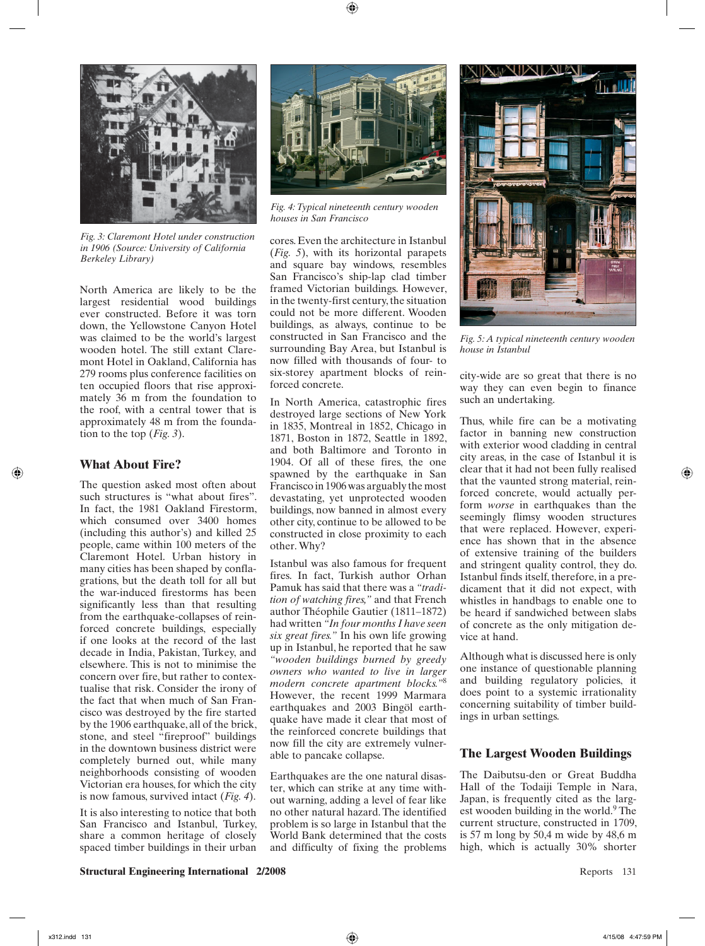

Fig. 3: Claremont Hotel under construction in 1906 (Source: University of California **Berkeley Library**)

North America are likely to be the largest residential wood buildings ever constructed. Before it was torn down, the Yellowstone Canvon Hotel was claimed to be the world's largest wooden hotel. The still extant Claremont Hotel in Oakland, California has 279 rooms plus conference facilities on ten occupied floors that rise approximately 36 m from the foundation to the roof, with a central tower that is approximately 48 m from the foundation to the top (*Fig.* 3).

#### **What About Fire?**

The question asked most often about such structures is "what about fires". In fact, the 1981 Oakland Firestorm, which consumed over 3400 homes (including this author's) and killed 25 people, came within 100 meters of the Claremont Hotel. Urban history in many cities has been shaped by conflagrations, but the death toll for all but the war-induced firestorms has been significantly less than that resulting from the earthquake-collapses of reinforced concrete buildings, especially if one looks at the record of the last decade in India, Pakistan, Turkey, and elsewhere. This is not to minimise the concern over fire, but rather to contextualise that risk. Consider the irony of the fact that when much of San Francisco was destroyed by the fire started by the 1906 earthquake, all of the brick, stone, and steel "fireproof" buildings in the downtown business district were completely burned out, while many neighborhoods consisting of wooden Victorian era houses, for which the city is now famous, survived intact  $(Fig. 4)$ .

It is also interesting to notice that both San Francisco and Istanbul, Turkey, share a common heritage of closely spaced timber buildings in their urban



Fig. 4: Typical nineteenth century wooden houses in San Francisco

cores. Even the architecture in Istanbul (Fig. 5), with its horizontal parapets and square bay windows, resembles San Francisco's ship-lap clad timber framed Victorian buildings. However, in the twenty-first century, the situation could not be more different. Wooden buildings, as always, continue to be constructed in San Francisco and the surrounding Bay Area, but Istanbul is now filled with thousands of four- to six-storey apartment blocks of reinforced concrete.

In North America, catastrophic fires destroyed large sections of New York in 1835, Montreal in 1852, Chicago in 1871, Boston in 1872, Seattle in 1892, and both Baltimore and Toronto in 1904. Of all of these fires, the one spawned by the earthquake in San Francisco in 1906 was arguably the most devastating, yet unprotected wooden buildings, now banned in almost every other city, continue to be allowed to be constructed in close proximity to each other. Why?

Istanbul was also famous for frequent fires. In fact, Turkish author Orhan Pamuk has said that there was a "tradition of watching fires," and that French author Théophile Gautier (1811-1872) had written "In four months I have seen six great fires." In his own life growing up in Istanbul, he reported that he saw "wooden buildings burned by greedy owners who wanted to live in larger modern concrete apartment blocks."<sup>8</sup> However, the recent 1999 Marmara earthquakes and 2003 Bingöl earthquake have made it clear that most of the reinforced concrete buildings that now fill the city are extremely vulnerable to pancake collapse.

Earthquakes are the one natural disaster, which can strike at any time without warning, adding a level of fear like no other natural hazard. The identified problem is so large in Istanbul that the World Bank determined that the costs and difficulty of fixing the problems



Fig. 5: A typical nineteenth century wooden house in Istanbul

city-wide are so great that there is no way they can even begin to finance such an undertaking.

Thus, while fire can be a motivating factor in banning new construction with exterior wood cladding in central city areas, in the case of Istanbul it is clear that it had not been fully realised that the vaunted strong material, reinforced concrete, would actually perform worse in earthquakes than the seemingly flimsy wooden structures that were replaced. However, experience has shown that in the absence of extensive training of the builders and stringent quality control, they do. Istanbul finds itself, therefore, in a predicament that it did not expect, with whistles in handbags to enable one to be heard if sandwiched between slabs of concrete as the only mitigation device at hand.

Although what is discussed here is only one instance of questionable planning and building regulatory policies, it does point to a systemic irrationality concerning suitability of timber buildings in urban settings.

#### **The Largest Wooden Buildings**

The Daibutsu-den or Great Buddha Hall of the Todaiji Temple in Nara, Japan, is frequently cited as the largest wooden building in the world.<sup>9</sup> The current structure, constructed in 1709, is 57 m long by 50,4 m wide by 48,6 m high, which is actually 30% shorter